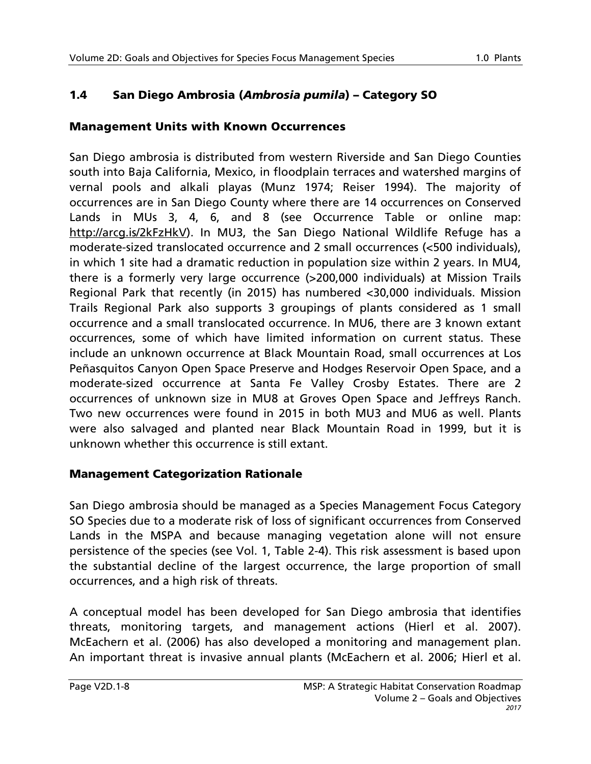# 1.4 San Diego Ambrosia (*Ambrosia pumila*) – Category SO

## Management Units with Known Occurrences

San Diego ambrosia is distributed from western Riverside and San Diego Counties south into Baja California, Mexico, in floodplain terraces and watershed margins of vernal pools and alkali playas (Munz 1974; Reiser 1994). The majority of occurrences are in San Diego County where there are 14 occurrences on Conserved Lands in MUs 3, 4, 6, and 8 (see Occurrence Table or online map: [http://arcg.is/2kFzHkV\)](http://arcg.is/2kFzHkV). In MU3, the San Diego National Wildlife Refuge has a moderate-sized translocated occurrence and 2 small occurrences (<500 individuals), in which 1 site had a dramatic reduction in population size within 2 years. In MU4, there is a formerly very large occurrence (>200,000 individuals) at Mission Trails Regional Park that recently (in 2015) has numbered <30,000 individuals. Mission Trails Regional Park also supports 3 groupings of plants considered as 1 small occurrence and a small translocated occurrence. In MU6, there are 3 known extant occurrences, some of which have limited information on current status. These include an unknown occurrence at Black Mountain Road, small occurrences at Los Peñasquitos Canyon Open Space Preserve and Hodges Reservoir Open Space, and a moderate-sized occurrence at Santa Fe Valley Crosby Estates. There are 2 occurrences of unknown size in MU8 at Groves Open Space and Jeffreys Ranch. Two new occurrences were found in 2015 in both MU3 and MU6 as well. Plants were also salvaged and planted near Black Mountain Road in 1999, but it is unknown whether this occurrence is still extant.

### Management Categorization Rationale

San Diego ambrosia should be managed as a Species Management Focus Category SO Species due to a moderate risk of loss of significant occurrences from Conserved Lands in the MSPA and because managing vegetation alone will not ensure persistence of the species (see Vol. 1, Table 2-4). This risk assessment is based upon the substantial decline of the largest occurrence, the large proportion of small occurrences, and a high risk of threats.

A conceptual model has been developed for San Diego ambrosia that identifies threats, monitoring targets, and management actions (Hierl et al. 2007). McEachern et al. (2006) has also developed a monitoring and management plan. An important threat is invasive annual plants (McEachern et al. 2006; Hierl et al.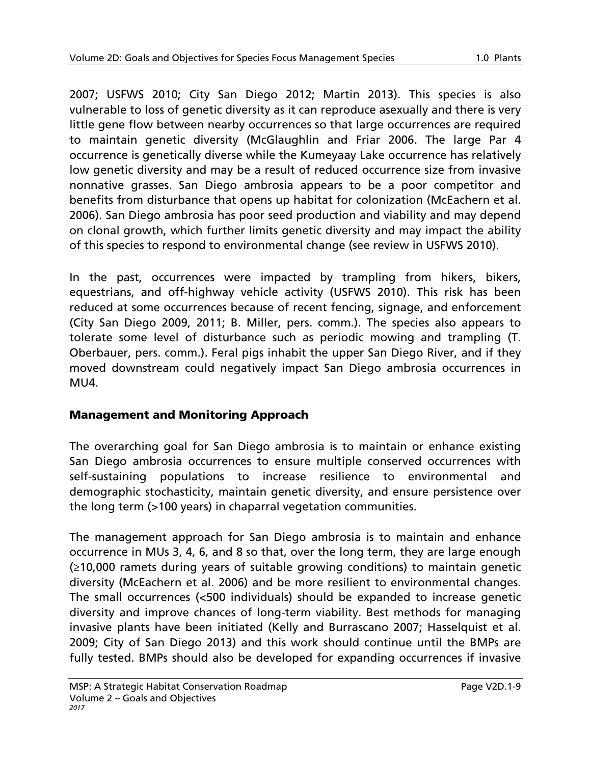2007; USFWS 2010; City San Diego 2012; Martin 2013). This species is also vulnerable to loss of genetic diversity as it can reproduce asexually and there is very little gene flow between nearby occurrences so that large occurrences are required to maintain genetic diversity (McGlaughlin and Friar 2006. The large Par 4 occurrence is genetically diverse while the Kumeyaay Lake occurrence has relatively low genetic diversity and may be a result of reduced occurrence size from invasive nonnative grasses. San Diego ambrosia appears to be a poor competitor and benefits from disturbance that opens up habitat for colonization (McEachern et al. 2006). San Diego ambrosia has poor seed production and viability and may depend on clonal growth, which further limits genetic diversity and may impact the ability of this species to respond to environmental change (see review in USFWS 2010).

In the past, occurrences were impacted by trampling from hikers, bikers, equestrians, and off-highway vehicle activity (USFWS 2010). This risk has been reduced at some occurrences because of recent fencing, signage, and enforcement (City San Diego 2009, 2011; B. Miller, pers. comm.). The species also appears to tolerate some level of disturbance such as periodic mowing and trampling (T. Oberbauer, pers. comm.). Feral pigs inhabit the upper San Diego River, and if they moved downstream could negatively impact San Diego ambrosia occurrences in MU4.

### Management and Monitoring Approach

The overarching goal for San Diego ambrosia is to maintain or enhance existing San Diego ambrosia occurrences to ensure multiple conserved occurrences with self-sustaining populations to increase resilience to environmental and demographic stochasticity, maintain genetic diversity, and ensure persistence over the long term (>100 years) in chaparral vegetation communities.

The management approach for San Diego ambrosia is to maintain and enhance occurrence in MUs 3, 4, 6, and 8 so that, over the long term, they are large enough (≥10,000 ramets during years of suitable growing conditions) to maintain genetic diversity (McEachern et al. 2006) and be more resilient to environmental changes. The small occurrences (<500 individuals) should be expanded to increase genetic diversity and improve chances of long-term viability. Best methods for managing invasive plants have been initiated (Kelly and Burrascano 2007; Hasselquist et al. 2009; City of San Diego 2013) and this work should continue until the BMPs are fully tested. BMPs should also be developed for expanding occurrences if invasive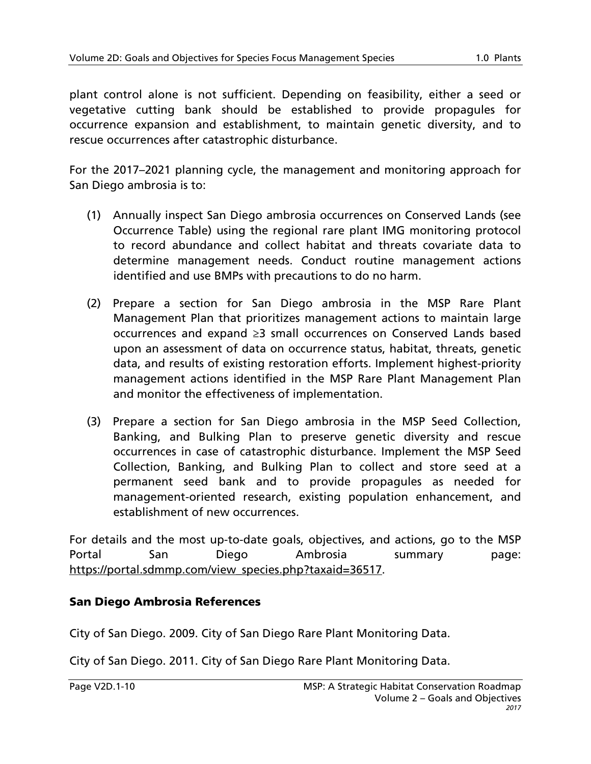plant control alone is not sufficient. Depending on feasibility, either a seed or vegetative cutting bank should be established to provide propagules for occurrence expansion and establishment, to maintain genetic diversity, and to rescue occurrences after catastrophic disturbance.

For the 2017–2021 planning cycle, the management and monitoring approach for San Diego ambrosia is to:

- (1) Annually inspect San Diego ambrosia occurrences on Conserved Lands (see Occurrence Table) using the regional rare plant IMG monitoring protocol to record abundance and collect habitat and threats covariate data to determine management needs. Conduct routine management actions identified and use BMPs with precautions to do no harm.
- (2) Prepare a section for San Diego ambrosia in the MSP Rare Plant Management Plan that prioritizes management actions to maintain large occurrences and expand ≥3 small occurrences on Conserved Lands based upon an assessment of data on occurrence status, habitat, threats, genetic data, and results of existing restoration efforts. Implement highest-priority management actions identified in the MSP Rare Plant Management Plan and monitor the effectiveness of implementation.
- (3) Prepare a section for San Diego ambrosia in the MSP Seed Collection, Banking, and Bulking Plan to preserve genetic diversity and rescue occurrences in case of catastrophic disturbance. Implement the MSP Seed Collection, Banking, and Bulking Plan to collect and store seed at a permanent seed bank and to provide propagules as needed for management-oriented research, existing population enhancement, and establishment of new occurrences.

For details and the most up-to-date goals, objectives, and actions, go to the MSP Portal San Diego Ambrosia summary page: [https://portal.sdmmp.com/view\\_species.php?taxaid=36517.](https://portal.sdmmp.com/view_species.php?taxaid=36517)

### San Diego Ambrosia References

City of San Diego. 2009. City of San Diego Rare Plant Monitoring Data.

City of San Diego. 2011. City of San Diego Rare Plant Monitoring Data.